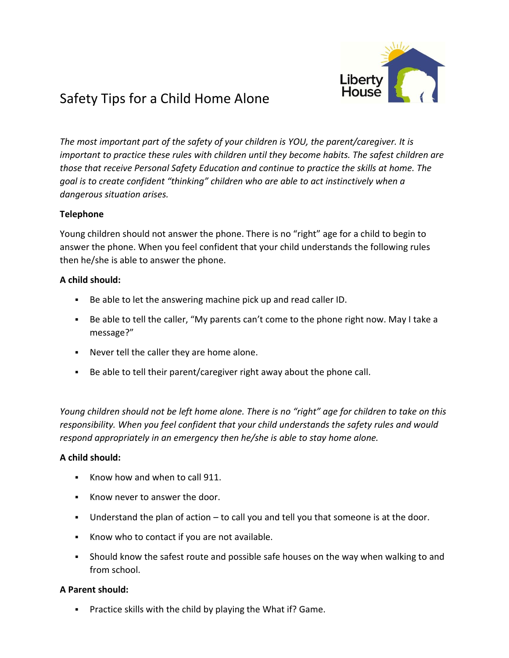

# Safety Tips for a Child Home Alone

*The most important part of the safety of your children is YOU, the parent/caregiver. It is important to practice these rules with children until they become habits. The safest children are those that receive Personal Safety Education and continue to practice the skills at home. The goal is to create confident "thinking" children who are able to act instinctively when a dangerous situation arises.*

### **Telephone**

Young children should not answer the phone. There is no "right" age for a child to begin to answer the phone. When you feel confident that your child understands the following rules then he/she is able to answer the phone.

## **A child should:**

- Be able to let the answering machine pick up and read caller ID.
- Be able to tell the caller, "My parents can't come to the phone right now. May I take a message?"
- Never tell the caller they are home alone.
- Be able to tell their parent/caregiver right away about the phone call.

*Young children should not be left home alone. There is no "right" age for children to take on this responsibility. When you feel confident that your child understands the safety rules and would respond appropriately in an emergency then he/she is able to stay home alone.*

### **A child should:**

- Know how and when to call 911.
- Know never to answer the door.
- **•** Understand the plan of action  $-$  to call you and tell you that someone is at the door.
- Know who to contact if you are not available.
- **•** Should know the safest route and possible safe houses on the way when walking to and from school.

### **A Parent should:**

▪ Practice skills with the child by playing the What if? Game.